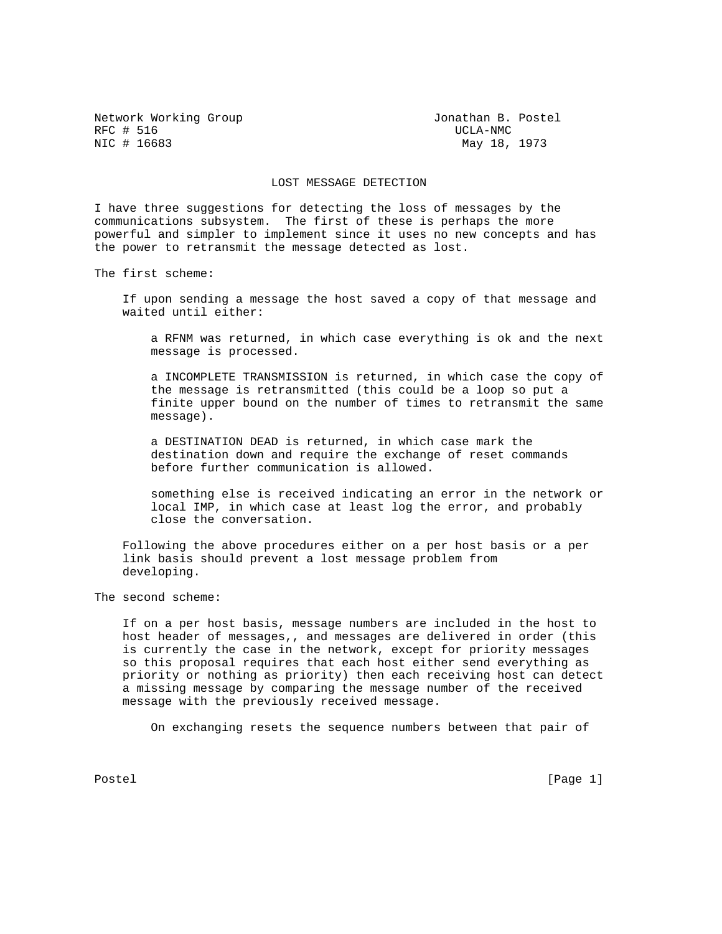Network Working Group 1997 1997 1998 Metwork Monathan B. Postel RFC # 516 UCLA-NMC # 516 UCLA-NMC # 516 UCLA-NMC # 516 UCLA-NMC # 516 UCLA-NMC # 516 UCLA

May 18, 1973

## LOST MESSAGE DETECTION

I have three suggestions for detecting the loss of messages by the communications subsystem. The first of these is perhaps the more powerful and simpler to implement since it uses no new concepts and has the power to retransmit the message detected as lost.

The first scheme:

 If upon sending a message the host saved a copy of that message and waited until either:

 a RFNM was returned, in which case everything is ok and the next message is processed.

 a INCOMPLETE TRANSMISSION is returned, in which case the copy of the message is retransmitted (this could be a loop so put a finite upper bound on the number of times to retransmit the same message).

 a DESTINATION DEAD is returned, in which case mark the destination down and require the exchange of reset commands before further communication is allowed.

 something else is received indicating an error in the network or local IMP, in which case at least log the error, and probably close the conversation.

 Following the above procedures either on a per host basis or a per link basis should prevent a lost message problem from developing.

The second scheme:

 If on a per host basis, message numbers are included in the host to host header of messages,, and messages are delivered in order (this is currently the case in the network, except for priority messages so this proposal requires that each host either send everything as priority or nothing as priority) then each receiving host can detect a missing message by comparing the message number of the received message with the previously received message.

On exchanging resets the sequence numbers between that pair of

Postel [Page 1] [Page 1]